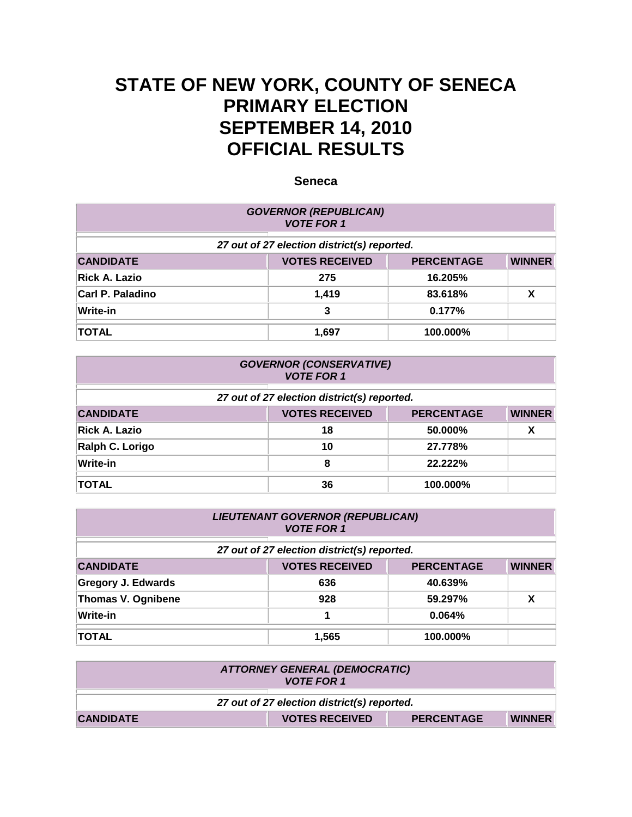## **STATE OF NEW YORK, COUNTY OF SENECA PRIMARY ELECTION SEPTEMBER 14, 2010 OFFICIAL RESULTS**

## **Seneca**

| <b>GOVERNOR (REPUBLICAN)</b><br><b>VOTE FOR 1</b> |                       |                   |               |
|---------------------------------------------------|-----------------------|-------------------|---------------|
| 27 out of 27 election district(s) reported.       |                       |                   |               |
| <b>CANDIDATE</b>                                  | <b>VOTES RECEIVED</b> | <b>PERCENTAGE</b> | <b>WINNER</b> |
| Rick A. Lazio                                     | 275                   | 16.205%           |               |
| <b>Carl P. Paladino</b>                           | 1,419                 | 83.618%           | X             |
| <b>Write-in</b>                                   | 3                     | 0.177%            |               |
| <b>TOTAL</b>                                      | 1,697                 | 100.000%          |               |

| <b>GOVERNOR (CONSERVATIVE)</b><br><b>VOTE FOR 1</b> |                       |                   |               |
|-----------------------------------------------------|-----------------------|-------------------|---------------|
| 27 out of 27 election district(s) reported.         |                       |                   |               |
| <b>CANDIDATE</b>                                    | <b>VOTES RECEIVED</b> | <b>PERCENTAGE</b> | <b>WINNER</b> |
| <b>Rick A. Lazio</b>                                | 18                    | 50.000%           | X             |
| Ralph C. Lorigo                                     | 10                    | 27.778%           |               |
| Write-in                                            | 8                     | 22.222%           |               |
| TOTAL                                               | 36                    | 100.000%          |               |

| <b>LIEUTENANT GOVERNOR (REPUBLICAN)</b><br><b>VOTE FOR 1</b> |                       |                   |               |
|--------------------------------------------------------------|-----------------------|-------------------|---------------|
| 27 out of 27 election district(s) reported.                  |                       |                   |               |
| <b>CANDIDATE</b>                                             | <b>VOTES RECEIVED</b> | <b>PERCENTAGE</b> | <b>WINNER</b> |
| <b>Gregory J. Edwards</b>                                    | 636                   | 40.639%           |               |
| Thomas V. Ognibene                                           | 928                   | 59.297%           | X             |
| Write-in                                                     |                       | 0.064%            |               |
| <b>TOTAL</b>                                                 | 1.565                 | 100.000%          |               |

| <b>ATTORNEY GENERAL (DEMOCRATIC)</b><br><b>VOTE FOR 1</b> |                       |                   |               |
|-----------------------------------------------------------|-----------------------|-------------------|---------------|
| 27 out of 27 election district(s) reported.               |                       |                   |               |
| <b>CANDIDATE</b>                                          | <b>VOTES RECEIVED</b> | <b>PERCENTAGE</b> | <b>WINNER</b> |